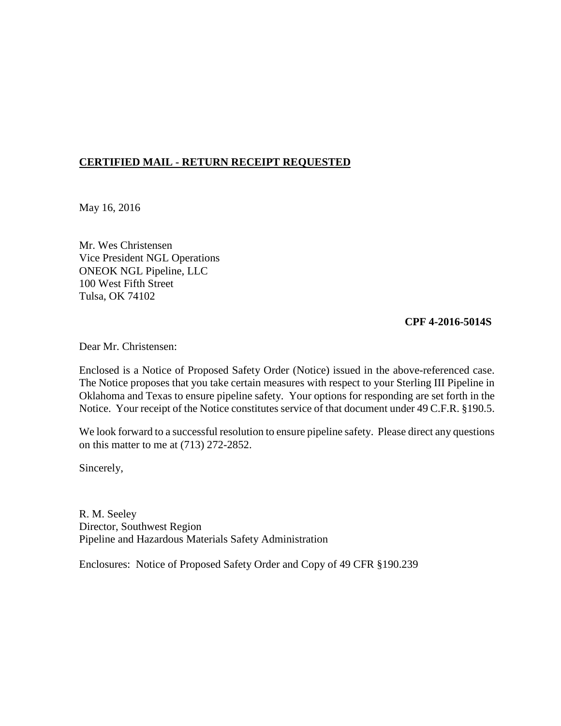# **CERTIFIED MAIL - RETURN RECEIPT REQUESTED**

May 16, 2016

Mr. Wes Christensen Vice President NGL Operations ONEOK NGL Pipeline, LLC 100 West Fifth Street Tulsa, OK 74102

#### **CPF 4-2016-5014S**

Dear Mr. Christensen:

Enclosed is a Notice of Proposed Safety Order (Notice) issued in the above-referenced case. The Notice proposes that you take certain measures with respect to your Sterling III Pipeline in Oklahoma and Texas to ensure pipeline safety. Your options for responding are set forth in the Notice. Your receipt of the Notice constitutes service of that document under 49 C.F.R. §190.5.

We look forward to a successful resolution to ensure pipeline safety. Please direct any questions on this matter to me at (713) 272-2852.

Sincerely,

R. M. Seeley Director, Southwest Region Pipeline and Hazardous Materials Safety Administration

Enclosures: Notice of Proposed Safety Order and Copy of 49 CFR §190.239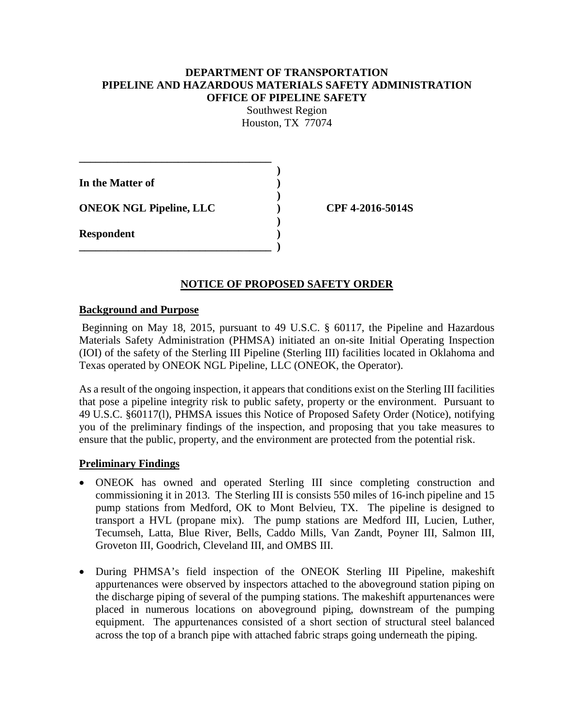#### **DEPARTMENT OF TRANSPORTATION PIPELINE AND HAZARDOUS MATERIALS SAFETY ADMINISTRATION OFFICE OF PIPELINE SAFETY**

Southwest Region Houston, TX 77074

| In the Matter of               |  |
|--------------------------------|--|
| <b>ONEOK NGL Pipeline, LLC</b> |  |
| <b>Respondent</b>              |  |
|                                |  |

**ONEOK NGL Pipeline, LLC ) CPF 4-2016-5014S**

## **NOTICE OF PROPOSED SAFETY ORDER**

#### **Background and Purpose**

Beginning on May 18, 2015, pursuant to 49 U.S.C. § 60117, the Pipeline and Hazardous Materials Safety Administration (PHMSA) initiated an on-site Initial Operating Inspection (IOI) of the safety of the Sterling III Pipeline (Sterling III) facilities located in Oklahoma and Texas operated by ONEOK NGL Pipeline, LLC (ONEOK, the Operator).

As a result of the ongoing inspection, it appears that conditions exist on the Sterling III facilities that pose a pipeline integrity risk to public safety, property or the environment. Pursuant to 49 U.S.C. §60117(l), PHMSA issues this Notice of Proposed Safety Order (Notice), notifying you of the preliminary findings of the inspection, and proposing that you take measures to ensure that the public, property, and the environment are protected from the potential risk.

## **Preliminary Findings**

- ONEOK has owned and operated Sterling III since completing construction and commissioning it in 2013. The Sterling III is consists 550 miles of 16-inch pipeline and 15 pump stations from Medford, OK to Mont Belvieu, TX. The pipeline is designed to transport a HVL (propane mix). The pump stations are Medford III, Lucien, Luther, Tecumseh, Latta, Blue River, Bells, Caddo Mills, Van Zandt, Poyner III, Salmon III, Groveton III, Goodrich, Cleveland III, and OMBS III.
- During PHMSA's field inspection of the ONEOK Sterling III Pipeline, makeshift appurtenances were observed by inspectors attached to the aboveground station piping on the discharge piping of several of the pumping stations. The makeshift appurtenances were placed in numerous locations on aboveground piping, downstream of the pumping equipment. The appurtenances consisted of a short section of structural steel balanced across the top of a branch pipe with attached fabric straps going underneath the piping.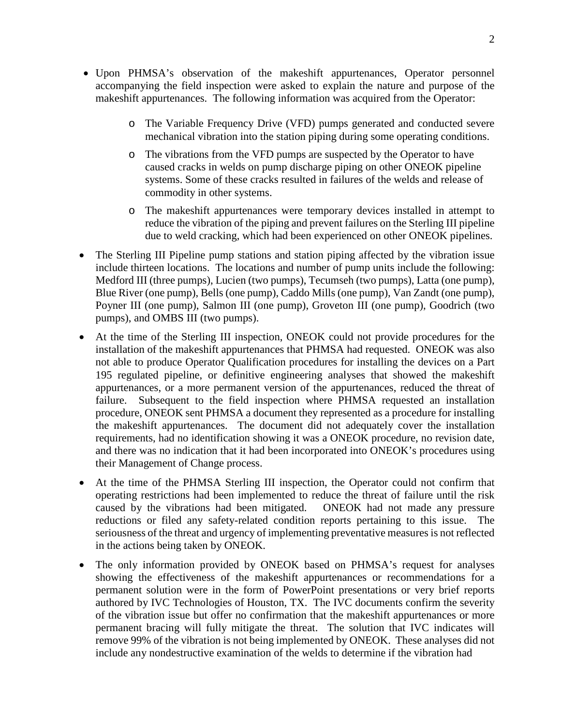- Upon PHMSA's observation of the makeshift appurtenances, Operator personnel accompanying the field inspection were asked to explain the nature and purpose of the makeshift appurtenances. The following information was acquired from the Operator:
	- o The Variable Frequency Drive (VFD) pumps generated and conducted severe mechanical vibration into the station piping during some operating conditions.
	- o The vibrations from the VFD pumps are suspected by the Operator to have caused cracks in welds on pump discharge piping on other ONEOK pipeline systems. Some of these cracks resulted in failures of the welds and release of commodity in other systems.
	- o The makeshift appurtenances were temporary devices installed in attempt to reduce the vibration of the piping and prevent failures on the Sterling III pipeline due to weld cracking, which had been experienced on other ONEOK pipelines.
- The Sterling III Pipeline pump stations and station piping affected by the vibration issue include thirteen locations. The locations and number of pump units include the following: Medford III (three pumps), Lucien (two pumps), Tecumseh (two pumps), Latta (one pump), Blue River (one pump), Bells (one pump), Caddo Mills (one pump), Van Zandt (one pump), Poyner III (one pump), Salmon III (one pump), Groveton III (one pump), Goodrich (two pumps), and OMBS III (two pumps).
- At the time of the Sterling III inspection, ONEOK could not provide procedures for the installation of the makeshift appurtenances that PHMSA had requested. ONEOK was also not able to produce Operator Qualification procedures for installing the devices on a Part 195 regulated pipeline, or definitive engineering analyses that showed the makeshift appurtenances, or a more permanent version of the appurtenances, reduced the threat of failure. Subsequent to the field inspection where PHMSA requested an installation procedure, ONEOK sent PHMSA a document they represented as a procedure for installing the makeshift appurtenances. The document did not adequately cover the installation requirements, had no identification showing it was a ONEOK procedure, no revision date, and there was no indication that it had been incorporated into ONEOK's procedures using their Management of Change process.
- At the time of the PHMSA Sterling III inspection, the Operator could not confirm that operating restrictions had been implemented to reduce the threat of failure until the risk caused by the vibrations had been mitigated. ONEOK had not made any pressure reductions or filed any safety-related condition reports pertaining to this issue. The seriousness of the threat and urgency of implementing preventative measures is not reflected in the actions being taken by ONEOK.
- The only information provided by ONEOK based on PHMSA's request for analyses showing the effectiveness of the makeshift appurtenances or recommendations for a permanent solution were in the form of PowerPoint presentations or very brief reports authored by IVC Technologies of Houston, TX. The IVC documents confirm the severity of the vibration issue but offer no confirmation that the makeshift appurtenances or more permanent bracing will fully mitigate the threat. The solution that IVC indicates will remove 99% of the vibration is not being implemented by ONEOK. These analyses did not include any nondestructive examination of the welds to determine if the vibration had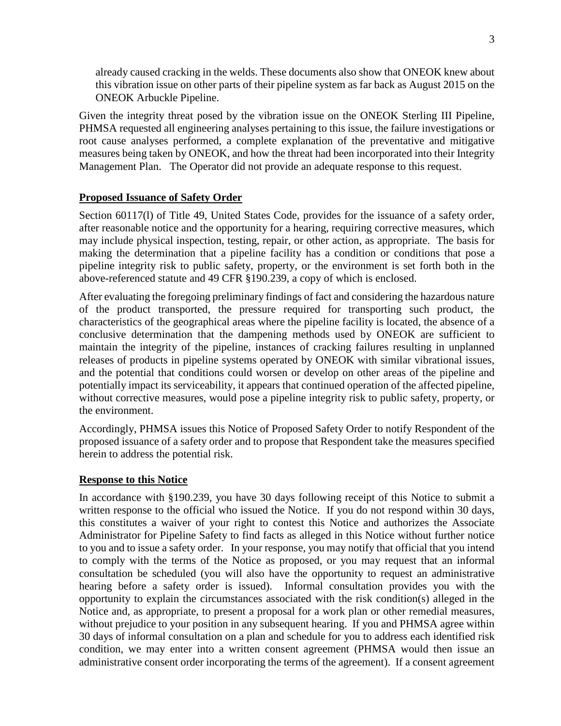already caused cracking in the welds. These documents also show that ONEOK knew about this vibration issue on other parts of their pipeline system as far back as August 2015 on the ONEOK Arbuckle Pipeline.

Given the integrity threat posed by the vibration issue on the ONEOK Sterling III Pipeline, PHMSA requested all engineering analyses pertaining to this issue, the failure investigations or root cause analyses performed, a complete explanation of the preventative and mitigative measures being taken by ONEOK, and how the threat had been incorporated into their Integrity Management Plan. The Operator did not provide an adequate response to this request.

## **Proposed Issuance of Safety Order**

Section 60117(1) of Title 49, United States Code, provides for the issuance of a safety order, after reasonable notice and the opportunity for a hearing, requiring corrective measures, which may include physical inspection, testing, repair, or other action, as appropriate. The basis for making the determination that a pipeline facility has a condition or conditions that pose a pipeline integrity risk to public safety, property, or the environment is set forth both in the above-referenced statute and 49 CFR §190.239, a copy of which is enclosed.

After evaluating the foregoing preliminary findings of fact and considering the hazardous nature of the product transported, the pressure required for transporting such product, the characteristics of the geographical areas where the pipeline facility is located, the absence of a conclusive determination that the dampening methods used by ONEOK are sufficient to maintain the integrity of the pipeline, instances of cracking failures resulting in unplanned releases of products in pipeline systems operated by ONEOK with similar vibrational issues, and the potential that conditions could worsen or develop on other areas of the pipeline and potentially impact its serviceability, it appears that continued operation of the affected pipeline, without corrective measures, would pose a pipeline integrity risk to public safety, property, or the environment.

Accordingly, PHMSA issues this Notice of Proposed Safety Order to notify Respondent of the proposed issuance of a safety order and to propose that Respondent take the measures specified herein to address the potential risk.

## **Response to this Notice**

In accordance with §190.239, you have 30 days following receipt of this Notice to submit a written response to the official who issued the Notice. If you do not respond within 30 days, this constitutes a waiver of your right to contest this Notice and authorizes the Associate Administrator for Pipeline Safety to find facts as alleged in this Notice without further notice to you and to issue a safety order. In your response, you may notify that official that you intend to comply with the terms of the Notice as proposed, or you may request that an informal consultation be scheduled (you will also have the opportunity to request an administrative hearing before a safety order is issued). Informal consultation provides you with the opportunity to explain the circumstances associated with the risk condition(s) alleged in the Notice and, as appropriate, to present a proposal for a work plan or other remedial measures, without prejudice to your position in any subsequent hearing. If you and PHMSA agree within 30 days of informal consultation on a plan and schedule for you to address each identified risk condition, we may enter into a written consent agreement (PHMSA would then issue an administrative consent order incorporating the terms of the agreement). If a consent agreement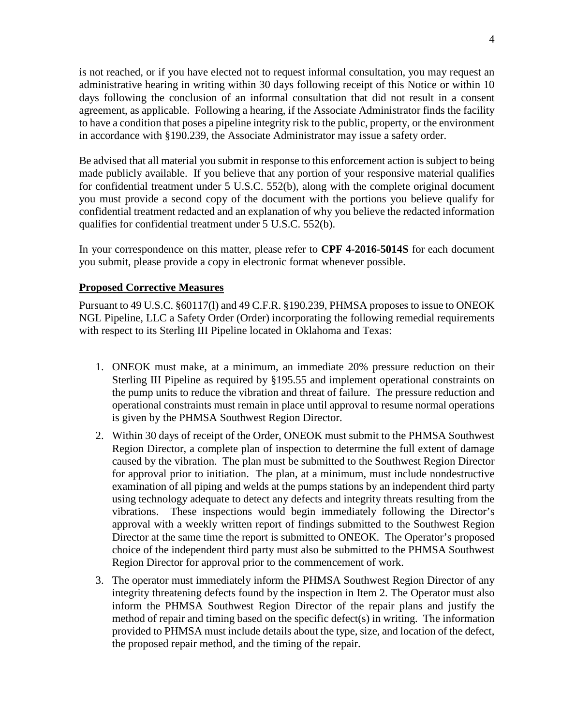is not reached, or if you have elected not to request informal consultation, you may request an administrative hearing in writing within 30 days following receipt of this Notice or within 10 days following the conclusion of an informal consultation that did not result in a consent agreement, as applicable. Following a hearing, if the Associate Administrator finds the facility to have a condition that poses a pipeline integrity risk to the public, property, or the environment in accordance with §190.239, the Associate Administrator may issue a safety order.

Be advised that all material you submit in response to this enforcement action is subject to being made publicly available. If you believe that any portion of your responsive material qualifies for confidential treatment under 5 U.S.C. 552(b), along with the complete original document you must provide a second copy of the document with the portions you believe qualify for confidential treatment redacted and an explanation of why you believe the redacted information qualifies for confidential treatment under 5 U.S.C. 552(b).

In your correspondence on this matter, please refer to **CPF 4-2016-5014S** for each document you submit, please provide a copy in electronic format whenever possible.

## **Proposed Corrective Measures**

Pursuant to 49 U.S.C. §60117(l) and 49 C.F.R. §190.239, PHMSA proposes to issue to ONEOK NGL Pipeline, LLC a Safety Order (Order) incorporating the following remedial requirements with respect to its Sterling III Pipeline located in Oklahoma and Texas:

- 1. ONEOK must make, at a minimum, an immediate 20% pressure reduction on their Sterling III Pipeline as required by §195.55 and implement operational constraints on the pump units to reduce the vibration and threat of failure. The pressure reduction and operational constraints must remain in place until approval to resume normal operations is given by the PHMSA Southwest Region Director.
- 2. Within 30 days of receipt of the Order, ONEOK must submit to the PHMSA Southwest Region Director, a complete plan of inspection to determine the full extent of damage caused by the vibration. The plan must be submitted to the Southwest Region Director for approval prior to initiation. The plan, at a minimum, must include nondestructive examination of all piping and welds at the pumps stations by an independent third party using technology adequate to detect any defects and integrity threats resulting from the vibrations. These inspections would begin immediately following the Director's approval with a weekly written report of findings submitted to the Southwest Region Director at the same time the report is submitted to ONEOK. The Operator's proposed choice of the independent third party must also be submitted to the PHMSA Southwest Region Director for approval prior to the commencement of work.
- 3. The operator must immediately inform the PHMSA Southwest Region Director of any integrity threatening defects found by the inspection in Item 2. The Operator must also inform the PHMSA Southwest Region Director of the repair plans and justify the method of repair and timing based on the specific defect(s) in writing. The information provided to PHMSA must include details about the type, size, and location of the defect, the proposed repair method, and the timing of the repair.